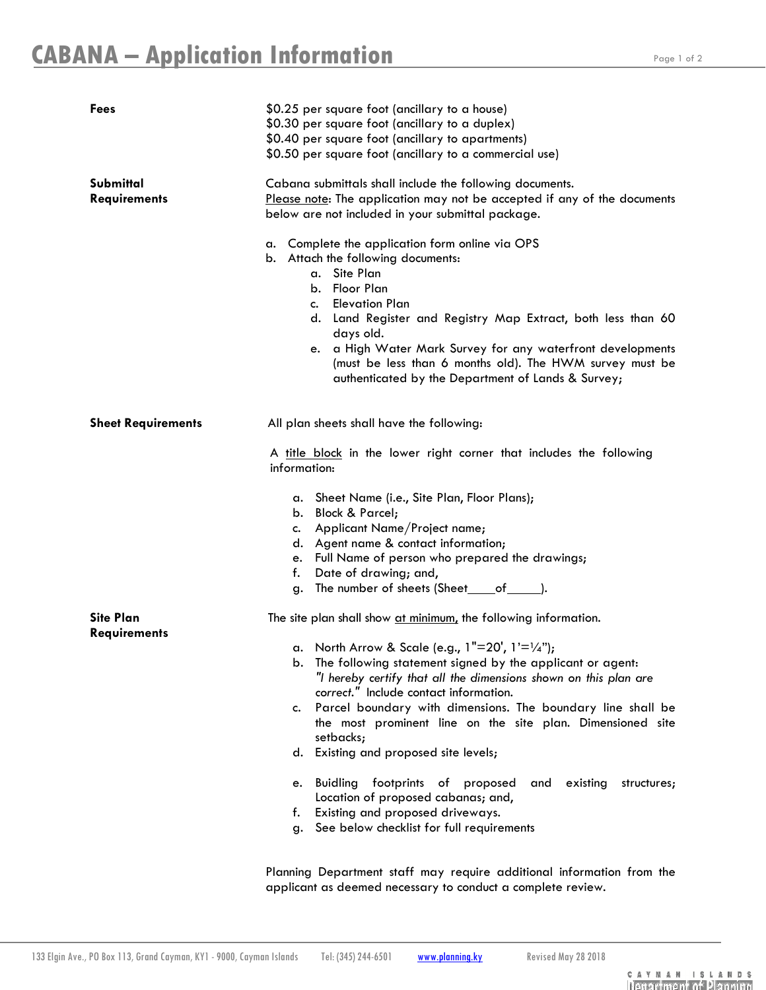| <b>Fees</b>                             | \$0.25 per square foot (ancillary to a house)<br>\$0.30 per square foot (ancillary to a duplex)<br>\$0.40 per square foot (ancillary to apartments)<br>\$0.50 per square foot (ancillary to a commercial use)                                                                                                                                                                                                                |
|-----------------------------------------|------------------------------------------------------------------------------------------------------------------------------------------------------------------------------------------------------------------------------------------------------------------------------------------------------------------------------------------------------------------------------------------------------------------------------|
| Submittal<br><b>Requirements</b>        | Cabana submittals shall include the following documents.<br>Please note: The application may not be accepted if any of the documents<br>below are not included in your submittal package.                                                                                                                                                                                                                                    |
|                                         | a. Complete the application form online via OPS<br>b. Attach the following documents:<br>a. Site Plan<br>b. Floor Plan<br><b>Elevation Plan</b><br>$c_{\cdot}$<br>d. Land Register and Registry Map Extract, both less than 60<br>days old.<br>e. a High Water Mark Survey for any waterfront developments<br>(must be less than 6 months old). The HWM survey must be<br>authenticated by the Department of Lands & Survey; |
| <b>Sheet Requirements</b>               | All plan sheets shall have the following:                                                                                                                                                                                                                                                                                                                                                                                    |
|                                         | A title block in the lower right corner that includes the following<br>information:                                                                                                                                                                                                                                                                                                                                          |
|                                         | a. Sheet Name (i.e., Site Plan, Floor Plans);<br>b. Block & Parcel;<br>c. Applicant Name/Project name;<br>d. Agent name & contact information;<br>e. Full Name of person who prepared the drawings;<br>f. Date of drawing; and,<br>The number of sheets (Sheet_____of________).<br>g.                                                                                                                                        |
| <b>Site Plan</b><br><b>Requirements</b> | The site plan shall show at minimum, the following information.                                                                                                                                                                                                                                                                                                                                                              |
|                                         | a. North Arrow & Scale (e.g., $1"=20'$ , $1'=1/4"$ );<br>The following statement signed by the applicant or agent:<br>b.<br>"I hereby certify that all the dimensions shown on this plan are<br>correct." Include contact information.<br>Parcel boundary with dimensions. The boundary line shall be<br>c.                                                                                                                  |
|                                         | the most prominent line on the site plan. Dimensioned site<br>setbacks;                                                                                                                                                                                                                                                                                                                                                      |
|                                         | d. Existing and proposed site levels;<br><b>Buidling</b><br>footprints of proposed<br>existing<br>structures;<br>and<br>e.<br>Location of proposed cabanas; and,<br>Existing and proposed driveways.<br>f.<br>See below checklist for full requirements<br>g.                                                                                                                                                                |

Planning Department staff may require additional information from the applicant as deemed necessary to conduct a complete review.